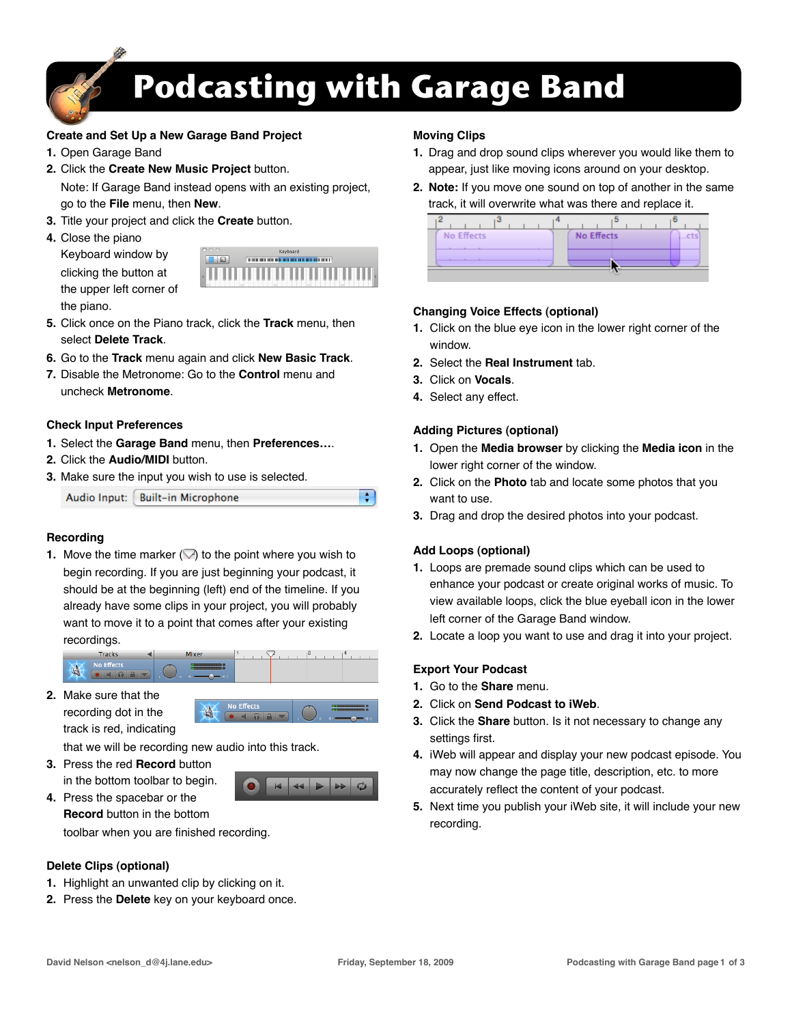

# **Podcasting with Garage Band**

쉬

## **Create and Set Up a New Garage Band Project**

- **1.** Open Garage Band
- **2.** Click the **Create New Music Project** button. Note: If Garage Band instead opens with an existing project, go to the **File** menu, then **New**.
- **3.** Title your project and click the **Create** button.
- **4.** Close the piano
	- Keyboard window by clicking the button at the upper left corner of the piano.



- **5.** Click once on the Piano track, click the **Track** menu, then select **Delete Track**.
- **6.** Go to the **Track** menu again and click **New Basic Track**.
- **7.** Disable the Metronome: Go to the **Control** menu and uncheck **Metronome**.

## **Check Input Preferences**

- **1.** Select the **Garage Band** menu, then **Preferences…**.
- **2.** Click the **Audio/MIDI** button.
- **3.** Make sure the input you wish to use is selected.

Audio Input: Built-in Microphone

#### **Recording**

**1.** Move the time marker  $\oslash$  to the point where you wish to begin recording. If you are just beginning your podcast, it should be at the beginning (left) end of the timeline. If you already have some clips in your project, you will probably want to move it to a point that comes after your existing recordings.

| <b>Tracks</b> | Mixer              |  |  |
|---------------|--------------------|--|--|
| ×             | . .<br>$-$ (b) $-$ |  |  |

**2.** Make sure that the recording dot in the track is red, indicating

that we will be recording new audio into this track.

**3.** Press the red **Record** button in the bottom toolbar to begin.

**4.** Press the spacebar or the **Record** button in the bottom



toolbar when you are finished recording.

#### **Delete Clips (optional)**

- **1.** Highlight an unwanted clip by clicking on it.
- **2.** Press the **Delete** key on your keyboard once.

## **Moving Clips**

- **1.** Drag and drop sound clips wherever you would like them to appear, just like moving icons around on your desktop.
- **2. Note:** If you move one sound on top of another in the same track, it will overwrite what was there and replace it.

| <b>No Effects</b> | <b>No Effects</b> | $$ cts |
|-------------------|-------------------|--------|
|                   |                   |        |

## **Changing Voice Effects (optional)**

- **1.** Click on the blue eye icon in the lower right corner of the window.
- **2.** Select the **Real Instrument** tab.
- **3.** Click on **Vocals**.
- **4.** Select any effect.

## **Adding Pictures (optional)**

- **1.** Open the **Media browser** by clicking the **Media icon** in the lower right corner of the window.
- **2.** Click on the **Photo** tab and locate some photos that you want to use.
- **3.** Drag and drop the desired photos into your podcast.

# **Add Loops (optional)**

- **1.** Loops are premade sound clips which can be used to enhance your podcast or create original works of music. To view available loops, click the blue eyeball icon in the lower left corner of the Garage Band window.
- **2.** Locate a loop you want to use and drag it into your project.

# **Export Your Podcast**

- **1.** Go to the **Share** menu.
- **2.** Click on **Send Podcast to iWeb**.
- **3.** Click the **Share** button. Is it not necessary to change any settings first.
- **4.** iWeb will appear and display your new podcast episode. You may now change the page title, description, etc. to more accurately reflect the content of your podcast.
- **5.** Next time you publish your iWeb site, it will include your new recording.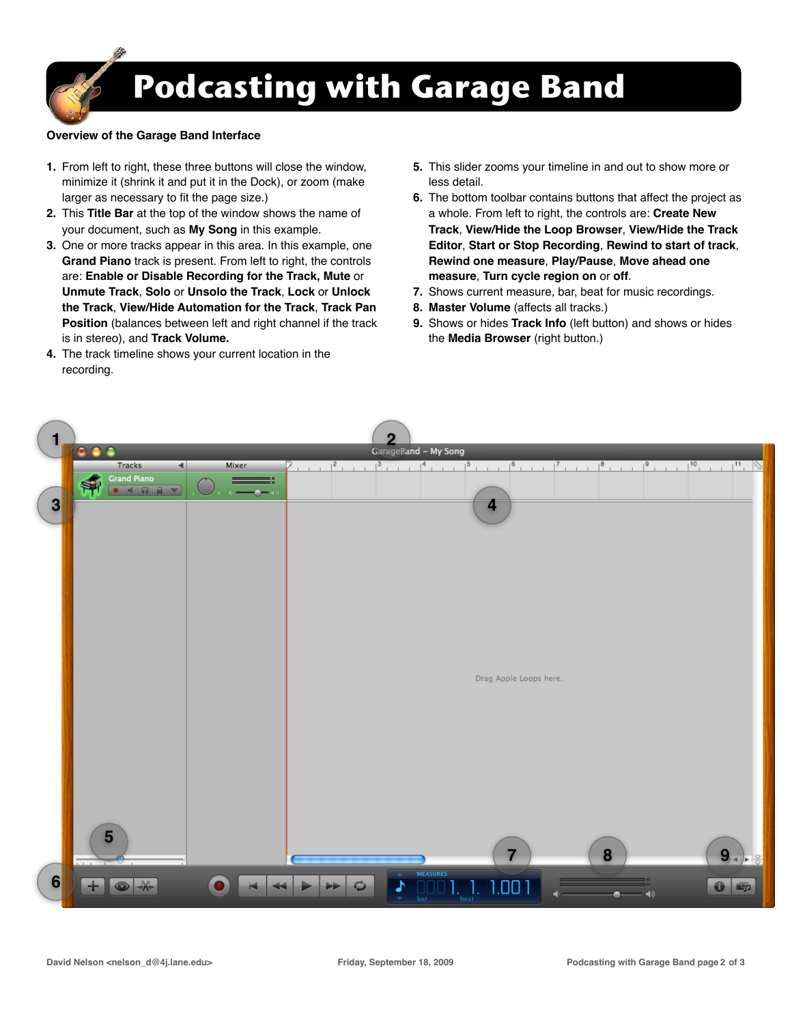

#### **Overview of the Garage Band Interface**

- **1.** From left to right, these three buttons will close the window, minimize it (shrink it and put it in the Dock), or zoom (make larger as necessary to fit the page size.)
- **2.** This **Title Bar** at the top of the window shows the name of your document, such as **My Song** in this example.
- **3.** One or more tracks appear in this area. In this example, one **Grand Piano** track is present. From left to right, the controls are: **Enable or Disable Recording for the Track, Mute** or **Unmute Track**, **Solo** or **Unsolo the Track**, **Lock** or **Unlock the Track**, **View/Hide Automation for the Track**, **Track Pan Position** (balances between left and right channel if the track is in stereo), and **Track Volume.**
- **4.** The track timeline shows your current location in the recording.
- **5.** This slider zooms your timeline in and out to show more or less detail.
- **6.** The bottom toolbar contains buttons that affect the project as a whole. From left to right, the controls are: **Create New Track**, **View/Hide the Loop Browser**, **View/Hide the Track Editor**, **Start or Stop Recording**, **Rewind to start of track**, **Rewind one measure**, **Play/Pause**, **Move ahead one measure**, **Turn cycle region on** or **off**.
- **7.** Shows current measure, bar, beat for music recordings.
- **8. Master Volume** (affects all tracks.)
- **9.** Shows or hides **Track Info** (left button) and shows or hides the **Media Browser** (right button.)